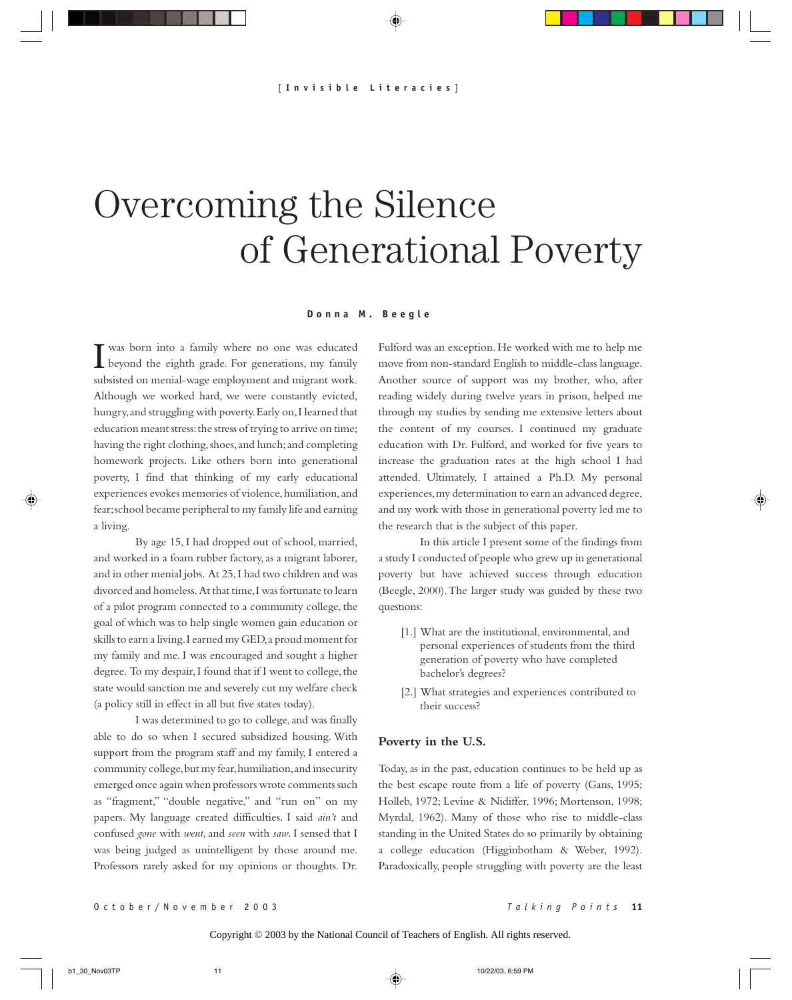# Overcoming the Silence of Generational Poverty

#### **Donna M. Beegle**

I was born into a family where no one was educated beyond the eighth grade. For generations, my family was born into a family where no one was educated subsisted on menial-wage employment and migrant work. Although we worked hard, we were constantly evicted, hungry, and struggling with poverty. Early on, I learned that education meant stress: the stress of trying to arrive on time; having the right clothing, shoes, and lunch; and completing homework projects. Like others born into generational poverty, I find that thinking of my early educational experiences evokes memories of violence, humiliation, and fear; school became peripheral to my family life and earning a living.

By age 15, I had dropped out of school, married, and worked in a foam rubber factory, as a migrant laborer, and in other menial jobs. At 25, I had two children and was divorced and homeless. At that time, I was fortunate to learn of a pilot program connected to a community college, the goal of which was to help single women gain education or skills to earn a living. I earned my GED, a proud moment for my family and me. I was encouraged and sought a higher degree. To my despair, I found that if I went to college, the state would sanction me and severely cut my welfare check (a policy still in effect in all but five states today).

I was determined to go to college, and was finally able to do so when I secured subsidized housing. With support from the program staff and my family, I entered a community college, but my fear, humiliation, and insecurity emerged once again when professors wrote comments such as "fragment," "double negative," and "run on" on my papers. My language created difficulties. I said *ain't* and confused *gone* with *went*, and *seen* with *saw*. I sensed that I was being judged as unintelligent by those around me. Professors rarely asked for my opinions or thoughts. Dr.

Fulford was an exception. He worked with me to help me move from non-standard English to middle-class language. Another source of support was my brother, who, after reading widely during twelve years in prison, helped me through my studies by sending me extensive letters about the content of my courses. I continued my graduate education with Dr. Fulford, and worked for five years to increase the graduation rates at the high school I had attended. Ultimately, I attained a Ph.D. My personal experiences, my determination to earn an advanced degree, and my work with those in generational poverty led me to the research that is the subject of this paper.

In this article I present some of the findings from a study I conducted of people who grew up in generational poverty but have achieved success through education (Beegle, 2000). The larger study was guided by these two questions:

- [1.] What are the institutional, environmental, and personal experiences of students from the third generation of poverty who have completed bachelor's degrees?
- [2.] What strategies and experiences contributed to their success?

#### **Poverty in the U.S.**

Today, as in the past, education continues to be held up as the best escape route from a life of poverty (Gans, 1995; Holleb, 1972; Levine & Nidiffer, 1996; Mortenson, 1998; Myrdal, 1962). Many of those who rise to middle-class standing in the United States do so primarily by obtaining a college education (Higginbotham & Weber, 1992). Paradoxically, people struggling with poverty are the least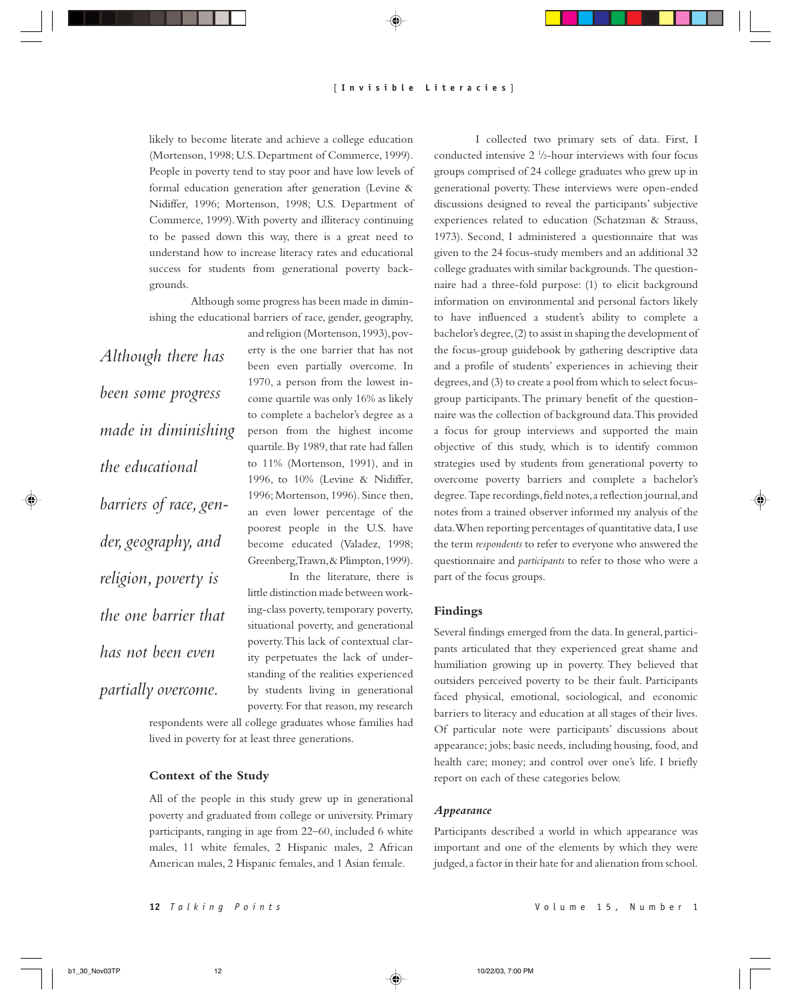likely to become literate and achieve a college education (Mortenson, 1998; U.S. Department of Commerce, 1999). People in poverty tend to stay poor and have low levels of formal education generation after generation (Levine & Nidiffer, 1996; Mortenson, 1998; U.S. Department of Commerce, 1999). With poverty and illiteracy continuing to be passed down this way, there is a great need to understand how to increase literacy rates and educational success for students from generational poverty backgrounds.

Although some progress has been made in diminishing the educational barriers of race, gender, geography,

*Although there has been some progress made in diminishing the educational barriers of race, gender, geography, and religion, poverty is the one barrier that has not been even partially overcome.*

and religion (Mortenson, 1993), poverty is the one barrier that has not been even partially overcome. In 1970, a person from the lowest income quartile was only 16% as likely to complete a bachelor's degree as a person from the highest income quartile. By 1989, that rate had fallen to 11% (Mortenson, 1991), and in 1996, to 10% (Levine & Nidiffer, 1996; Mortenson, 1996). Since then, an even lower percentage of the poorest people in the U.S. have become educated (Valadez, 1998; Greenberg, Trawn, & Plimpton, 1999).

In the literature, there is little distinction made between working-class poverty, temporary poverty, situational poverty, and generational poverty. This lack of contextual clarity perpetuates the lack of understanding of the realities experienced by students living in generational poverty. For that reason, my research

respondents were all college graduates whose families had lived in poverty for at least three generations.

# **Context of the Study**

All of the people in this study grew up in generational poverty and graduated from college or university. Primary participants, ranging in age from 22–60, included 6 white males, 11 white females, 2 Hispanic males, 2 African American males, 2 Hispanic females, and 1 Asian female.

I collected two primary sets of data. First, I conducted intensive  $2 \frac{1}{2}$ -hour interviews with four focus groups comprised of 24 college graduates who grew up in generational poverty. These interviews were open-ended discussions designed to reveal the participants' subjective experiences related to education (Schatzman & Strauss, 1973). Second, I administered a questionnaire that was given to the 24 focus-study members and an additional 32 college graduates with similar backgrounds. The questionnaire had a three-fold purpose: (1) to elicit background information on environmental and personal factors likely to have influenced a student's ability to complete a bachelor's degree, (2) to assist in shaping the development of the focus-group guidebook by gathering descriptive data and a profile of students' experiences in achieving their degrees, and (3) to create a pool from which to select focusgroup participants. The primary benefit of the questionnaire was the collection of background data. This provided a focus for group interviews and supported the main objective of this study, which is to identify common strategies used by students from generational poverty to overcome poverty barriers and complete a bachelor's degree. Tape recordings, field notes, a reflection journal, and notes from a trained observer informed my analysis of the data. When reporting percentages of quantitative data, I use the term *respondents* to refer to everyone who answered the questionnaire and *participants* to refer to those who were a part of the focus groups.

# **Findings**

Several findings emerged from the data. In general, participants articulated that they experienced great shame and humiliation growing up in poverty. They believed that outsiders perceived poverty to be their fault. Participants faced physical, emotional, sociological, and economic barriers to literacy and education at all stages of their lives. Of particular note were participants' discussions about appearance; jobs; basic needs, including housing, food, and health care; money; and control over one's life. I briefly report on each of these categories below.

# *Appearance*

Participants described a world in which appearance was important and one of the elements by which they were judged, a factor in their hate for and alienation from school.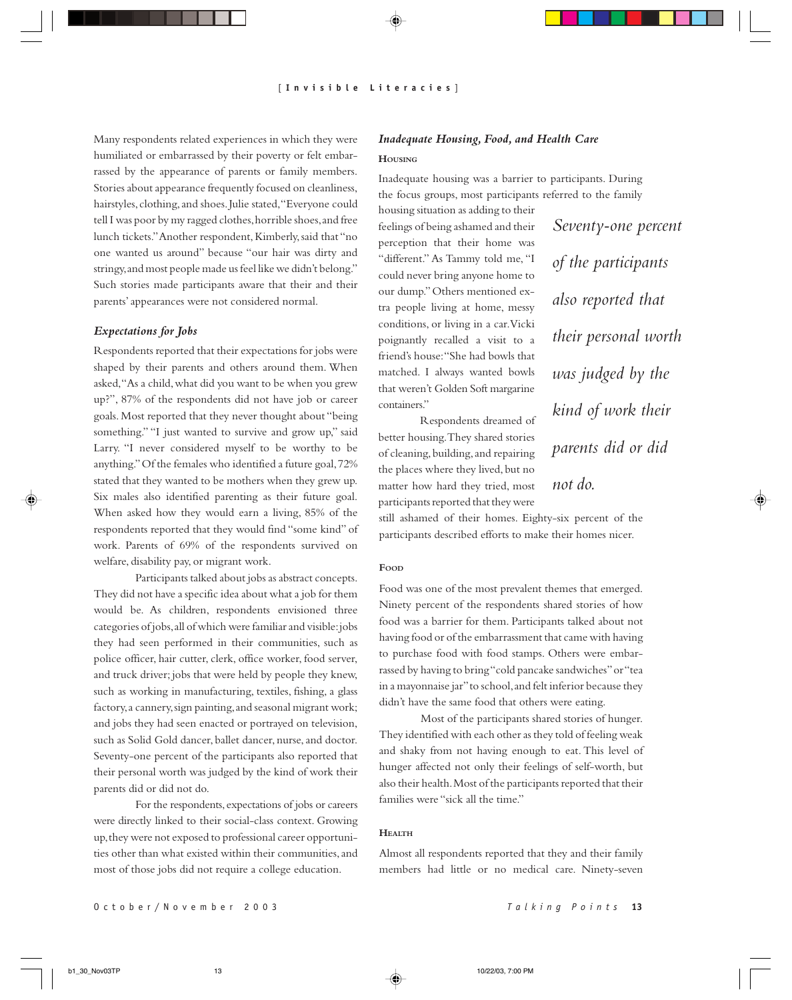Many respondents related experiences in which they were humiliated or embarrassed by their poverty or felt embarrassed by the appearance of parents or family members. Stories about appearance frequently focused on cleanliness, hairstyles, clothing, and shoes. Julie stated, "Everyone could tell I was poor by my ragged clothes, horrible shoes, and free lunch tickets." Another respondent, Kimberly, said that "no one wanted us around" because "our hair was dirty and stringy, and most people made us feel like we didn't belong." Such stories made participants aware that their and their parents' appearances were not considered normal.

# *Expectations for Jobs*

Respondents reported that their expectations for jobs were shaped by their parents and others around them. When asked, "As a child, what did you want to be when you grew up?", 87% of the respondents did not have job or career goals. Most reported that they never thought about "being something." "I just wanted to survive and grow up," said Larry. "I never considered myself to be worthy to be anything." Of the females who identified a future goal, 72% stated that they wanted to be mothers when they grew up. Six males also identified parenting as their future goal. When asked how they would earn a living, 85% of the respondents reported that they would find "some kind" of work. Parents of 69% of the respondents survived on welfare, disability pay, or migrant work.

Participants talked about jobs as abstract concepts. They did not have a specific idea about what a job for them would be. As children, respondents envisioned three categories of jobs, all of which were familiar and visible: jobs they had seen performed in their communities, such as police officer, hair cutter, clerk, office worker, food server, and truck driver; jobs that were held by people they knew, such as working in manufacturing, textiles, fishing, a glass factory, a cannery, sign painting, and seasonal migrant work; and jobs they had seen enacted or portrayed on television, such as Solid Gold dancer, ballet dancer, nurse, and doctor. Seventy-one percent of the participants also reported that their personal worth was judged by the kind of work their parents did or did not do.

For the respondents, expectations of jobs or careers were directly linked to their social-class context. Growing up, they were not exposed to professional career opportunities other than what existed within their communities, and most of those jobs did not require a college education.

# *Inadequate Housing, Food, and Health Care*

# **HOUSING**

Inadequate housing was a barrier to participants. During the focus groups, most participants referred to the family

housing situation as adding to their feelings of being ashamed and their perception that their home was "different." As Tammy told me, "I could never bring anyone home to our dump." Others mentioned extra people living at home, messy conditions, or living in a car. Vicki poignantly recalled a visit to a friend's house: "She had bowls that matched. I always wanted bowls that weren't Golden Soft margarine containers."

Respondents dreamed of better housing. They shared stories of cleaning, building, and repairing the places where they lived, but no matter how hard they tried, most participants reported that they were

*Seventy-one percent of the participants also reported that their personal worth was judged by the kind of work their parents did or did not do.*

still ashamed of their homes. Eighty-six percent of the participants described efforts to make their homes nicer.

### **FOOD**

Food was one of the most prevalent themes that emerged. Ninety percent of the respondents shared stories of how food was a barrier for them. Participants talked about not having food or of the embarrassment that came with having to purchase food with food stamps. Others were embarrassed by having to bring "cold pancake sandwiches" or "tea in a mayonnaise jar" to school, and felt inferior because they didn't have the same food that others were eating.

Most of the participants shared stories of hunger. They identified with each other as they told of feeling weak and shaky from not having enough to eat. This level of hunger affected not only their feelings of self-worth, but also their health. Most of the participants reported that their families were "sick all the time."

#### **HEALTH**

Almost all respondents reported that they and their family members had little or no medical care. Ninety-seven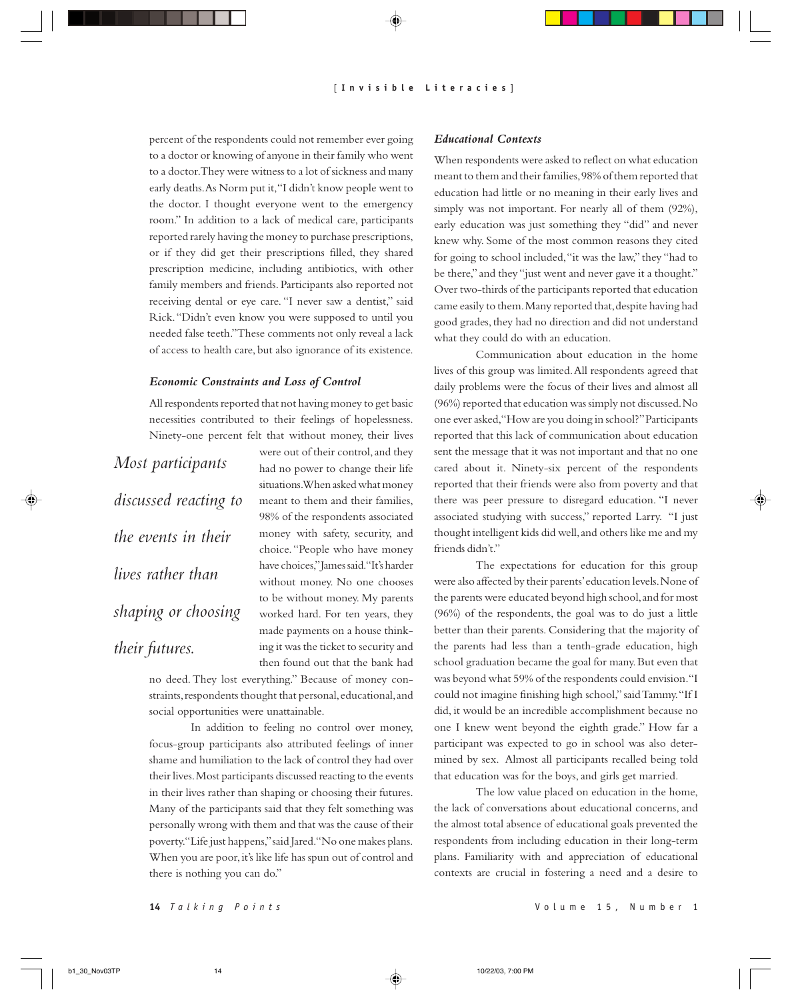percent of the respondents could not remember ever going to a doctor or knowing of anyone in their family who went to a doctor. They were witness to a lot of sickness and many early deaths. As Norm put it, "I didn't know people went to the doctor. I thought everyone went to the emergency room." In addition to a lack of medical care, participants reported rarely having the money to purchase prescriptions, or if they did get their prescriptions filled, they shared prescription medicine, including antibiotics, with other family members and friends. Participants also reported not receiving dental or eye care. "I never saw a dentist," said Rick. "Didn't even know you were supposed to until you needed false teeth." These comments not only reveal a lack of access to health care, but also ignorance of its existence.

# *Economic Constraints and Loss of Control*

All respondents reported that not having money to get basic necessities contributed to their feelings of hopelessness. Ninety-one percent felt that without money, their lives

*Most participants discussed reacting to the events in their lives rather than shaping or choosing their futures.*

were out of their control, and they had no power to change their life situations. When asked what money meant to them and their families, 98% of the respondents associated money with safety, security, and choice. "People who have money have choices," James said. "It's harder without money. No one chooses to be without money. My parents worked hard. For ten years, they made payments on a house thinking it was the ticket to security and then found out that the bank had

no deed. They lost everything." Because of money constraints, respondents thought that personal, educational, and social opportunities were unattainable.

In addition to feeling no control over money, focus-group participants also attributed feelings of inner shame and humiliation to the lack of control they had over their lives. Most participants discussed reacting to the events in their lives rather than shaping or choosing their futures. Many of the participants said that they felt something was personally wrong with them and that was the cause of their poverty. "Life just happens," said Jared. "No one makes plans. When you are poor, it's like life has spun out of control and there is nothing you can do."

# *Educational Contexts*

When respondents were asked to reflect on what education meant to them and their families, 98% of them reported that education had little or no meaning in their early lives and simply was not important. For nearly all of them (92%), early education was just something they "did" and never knew why. Some of the most common reasons they cited for going to school included, "it was the law," they "had to be there," and they "just went and never gave it a thought." Over two-thirds of the participants reported that education came easily to them. Many reported that, despite having had good grades, they had no direction and did not understand what they could do with an education.

Communication about education in the home lives of this group was limited. All respondents agreed that daily problems were the focus of their lives and almost all (96%) reported that education was simply not discussed. No one ever asked, "How are you doing in school?" Participants reported that this lack of communication about education sent the message that it was not important and that no one cared about it. Ninety-six percent of the respondents reported that their friends were also from poverty and that there was peer pressure to disregard education. "I never associated studying with success," reported Larry. "I just thought intelligent kids did well, and others like me and my friends didn't."

The expectations for education for this group were also affected by their parents' education levels. None of the parents were educated beyond high school, and for most (96%) of the respondents, the goal was to do just a little better than their parents. Considering that the majority of the parents had less than a tenth-grade education, high school graduation became the goal for many. But even that was beyond what 59% of the respondents could envision. "I could not imagine finishing high school," said Tammy. "If I did, it would be an incredible accomplishment because no one I knew went beyond the eighth grade." How far a participant was expected to go in school was also determined by sex. Almost all participants recalled being told that education was for the boys, and girls get married.

The low value placed on education in the home, the lack of conversations about educational concerns, and the almost total absence of educational goals prevented the respondents from including education in their long-term plans. Familiarity with and appreciation of educational contexts are crucial in fostering a need and a desire to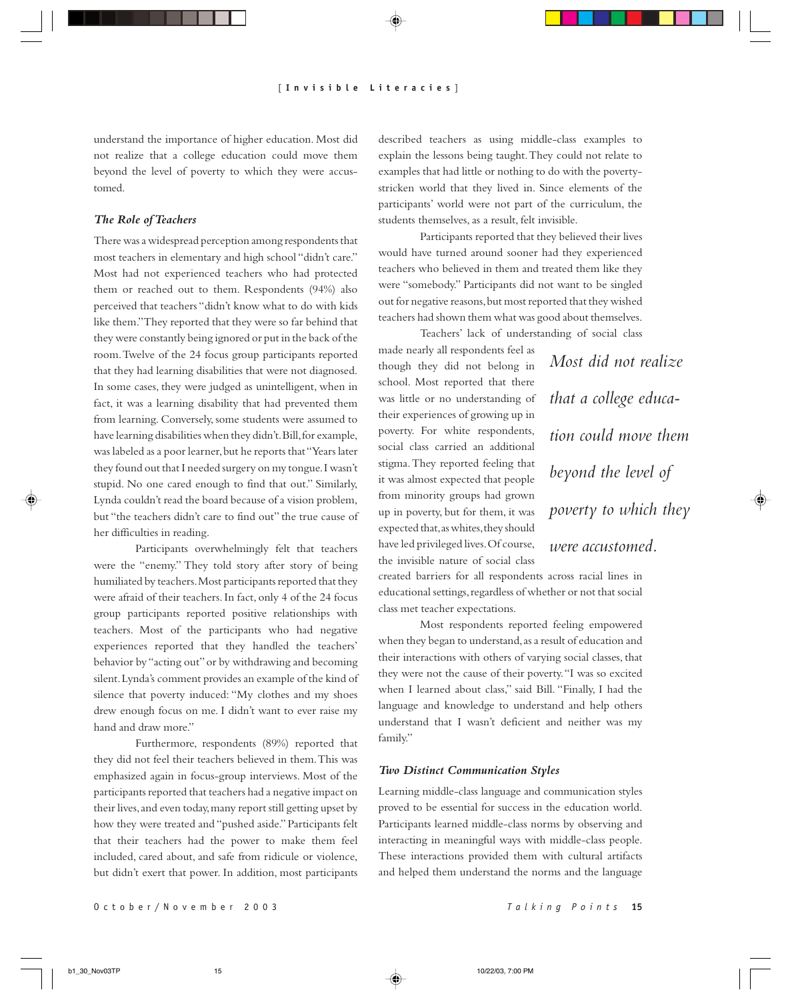understand the importance of higher education. Most did not realize that a college education could move them beyond the level of poverty to which they were accustomed.

# *The Role of Teachers*

There was a widespread perception among respondents that most teachers in elementary and high school "didn't care." Most had not experienced teachers who had protected them or reached out to them. Respondents (94%) also perceived that teachers "didn't know what to do with kids like them." They reported that they were so far behind that they were constantly being ignored or put in the back of the room. Twelve of the 24 focus group participants reported that they had learning disabilities that were not diagnosed. In some cases, they were judged as unintelligent, when in fact, it was a learning disability that had prevented them from learning. Conversely, some students were assumed to have learning disabilities when they didn't. Bill, for example, was labeled as a poor learner, but he reports that "Years later they found out that I needed surgery on my tongue. I wasn't stupid. No one cared enough to find that out." Similarly, Lynda couldn't read the board because of a vision problem, but "the teachers didn't care to find out" the true cause of her difficulties in reading.

Participants overwhelmingly felt that teachers were the "enemy." They told story after story of being humiliated by teachers. Most participants reported that they were afraid of their teachers. In fact, only 4 of the 24 focus group participants reported positive relationships with teachers. Most of the participants who had negative experiences reported that they handled the teachers' behavior by "acting out" or by withdrawing and becoming silent. Lynda's comment provides an example of the kind of silence that poverty induced: "My clothes and my shoes drew enough focus on me. I didn't want to ever raise my hand and draw more."

Furthermore, respondents (89%) reported that they did not feel their teachers believed in them. This was emphasized again in focus-group interviews. Most of the participants reported that teachers had a negative impact on their lives, and even today, many report still getting upset by how they were treated and "pushed aside." Participants felt that their teachers had the power to make them feel included, cared about, and safe from ridicule or violence, but didn't exert that power. In addition, most participants

described teachers as using middle-class examples to explain the lessons being taught. They could not relate to examples that had little or nothing to do with the povertystricken world that they lived in. Since elements of the participants' world were not part of the curriculum, the students themselves, as a result, felt invisible.

Participants reported that they believed their lives would have turned around sooner had they experienced teachers who believed in them and treated them like they were "somebody." Participants did not want to be singled out for negative reasons, but most reported that they wished teachers had shown them what was good about themselves.

Teachers' lack of understanding of social class made nearly all respondents feel as though they did not belong in school. Most reported that there was little or no understanding of their experiences of growing up in poverty. For white respondents, social class carried an additional stigma. They reported feeling that it was almost expected that people from minority groups had grown up in poverty, but for them, it was expected that, as whites, they should have led privileged lives. Of course, the invisible nature of social class

*Most did not realize that a college education could move them beyond the level of poverty to which they were accustomed.*

created barriers for all respondents across racial lines in educational settings, regardless of whether or not that social class met teacher expectations.

Most respondents reported feeling empowered when they began to understand, as a result of education and their interactions with others of varying social classes, that they were not the cause of their poverty. "I was so excited when I learned about class," said Bill. "Finally, I had the language and knowledge to understand and help others understand that I wasn't deficient and neither was my family."

#### *Two Distinct Communication Styles*

Learning middle-class language and communication styles proved to be essential for success in the education world. Participants learned middle-class norms by observing and interacting in meaningful ways with middle-class people. These interactions provided them with cultural artifacts and helped them understand the norms and the language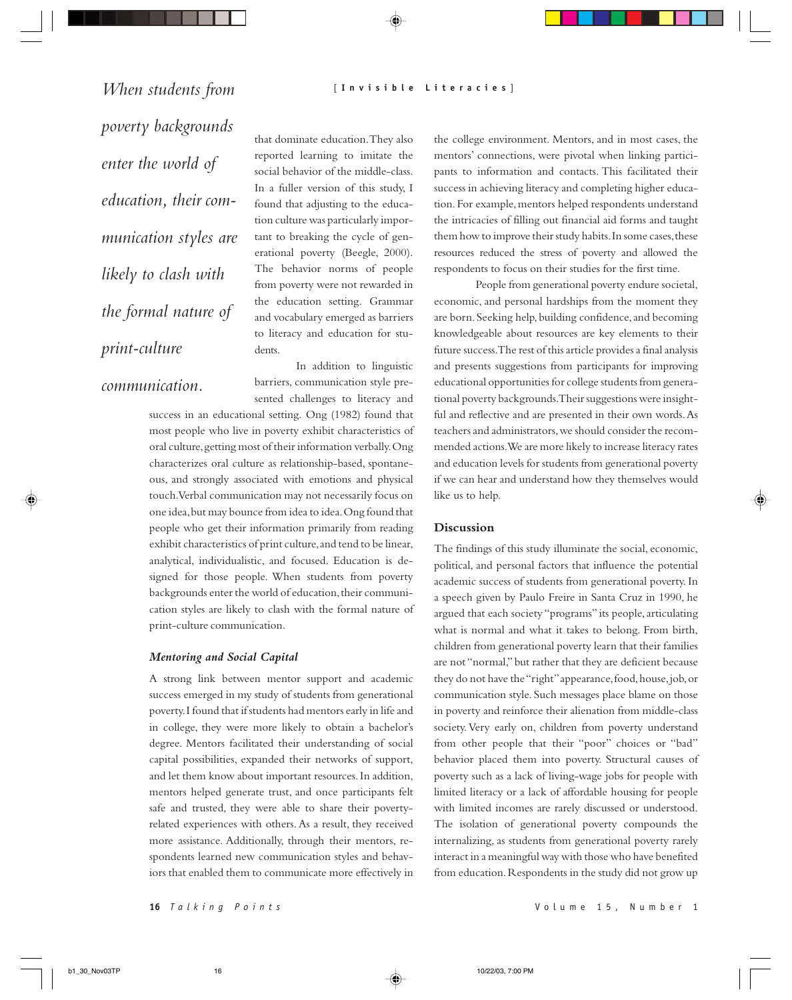*When students from poverty backgrounds enter the world of education, their communication styles are likely to clash with the formal nature of print-culture*

*communication.*

that dominate education. They also reported learning to imitate the social behavior of the middle-class. In a fuller version of this study, I found that adjusting to the education culture was particularly important to breaking the cycle of generational poverty (Beegle, 2000). The behavior norms of people from poverty were not rewarded in the education setting. Grammar and vocabulary emerged as barriers to literacy and education for students.

In addition to linguistic barriers, communication style presented challenges to literacy and

success in an educational setting. Ong (1982) found that most people who live in poverty exhibit characteristics of oral culture, getting most of their information verbally. Ong characterizes oral culture as relationship-based, spontaneous, and strongly associated with emotions and physical touch. Verbal communication may not necessarily focus on one idea, but may bounce from idea to idea. Ong found that people who get their information primarily from reading exhibit characteristics of print culture, and tend to be linear, analytical, individualistic, and focused. Education is designed for those people. When students from poverty backgrounds enter the world of education, their communication styles are likely to clash with the formal nature of print-culture communication.

# *Mentoring and Social Capital*

A strong link between mentor support and academic success emerged in my study of students from generational poverty. I found that if students had mentors early in life and in college, they were more likely to obtain a bachelor's degree. Mentors facilitated their understanding of social capital possibilities, expanded their networks of support, and let them know about important resources. In addition, mentors helped generate trust, and once participants felt safe and trusted, they were able to share their povertyrelated experiences with others. As a result, they received more assistance. Additionally, through their mentors, respondents learned new communication styles and behaviors that enabled them to communicate more effectively in the college environment. Mentors, and in most cases, the mentors' connections, were pivotal when linking participants to information and contacts. This facilitated their success in achieving literacy and completing higher education. For example, mentors helped respondents understand the intricacies of filling out financial aid forms and taught them how to improve their study habits. In some cases, these resources reduced the stress of poverty and allowed the respondents to focus on their studies for the first time.

People from generational poverty endure societal, economic, and personal hardships from the moment they are born. Seeking help, building confidence, and becoming knowledgeable about resources are key elements to their future success. The rest of this article provides a final analysis and presents suggestions from participants for improving educational opportunities for college students from generational poverty backgrounds. Their suggestions were insightful and reflective and are presented in their own words. As teachers and administrators, we should consider the recommended actions. We are more likely to increase literacy rates and education levels for students from generational poverty if we can hear and understand how they themselves would like us to help.

#### **Discussion**

The findings of this study illuminate the social, economic, political, and personal factors that influence the potential academic success of students from generational poverty. In a speech given by Paulo Freire in Santa Cruz in 1990, he argued that each society "programs" its people, articulating what is normal and what it takes to belong. From birth, children from generational poverty learn that their families are not "normal," but rather that they are deficient because they do not have the "right" appearance, food, house, job, or communication style. Such messages place blame on those in poverty and reinforce their alienation from middle-class society. Very early on, children from poverty understand from other people that their "poor" choices or "bad" behavior placed them into poverty. Structural causes of poverty such as a lack of living-wage jobs for people with limited literacy or a lack of affordable housing for people with limited incomes are rarely discussed or understood. The isolation of generational poverty compounds the internalizing, as students from generational poverty rarely interact in a meaningful way with those who have benefited from education. Respondents in the study did not grow up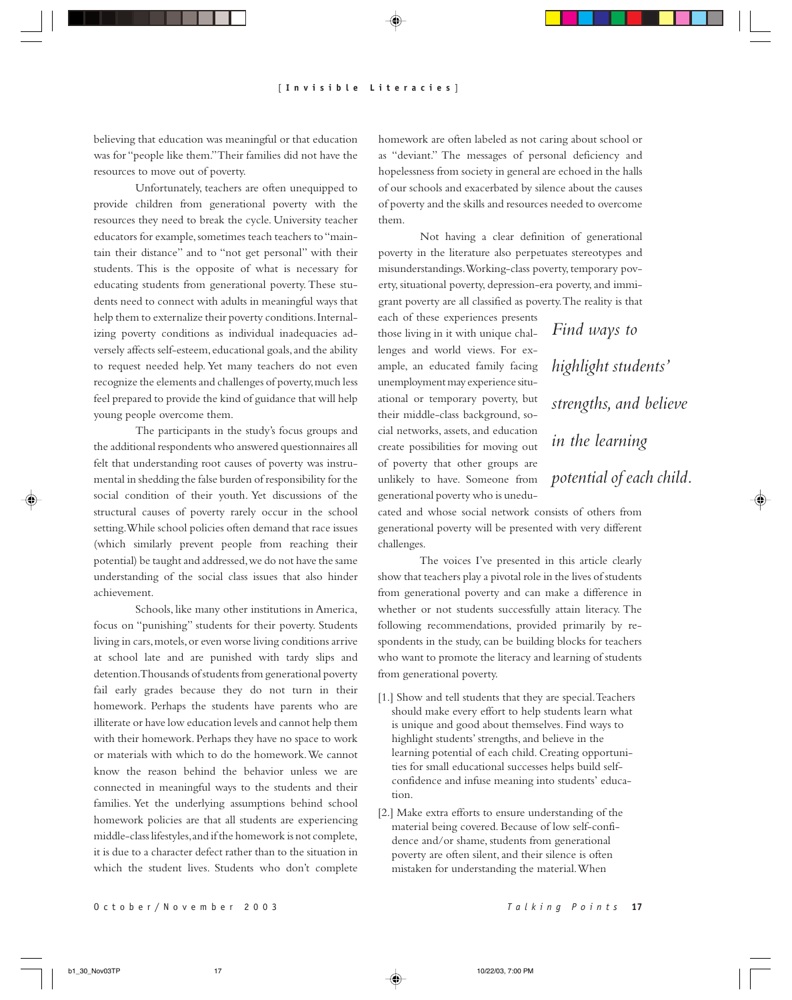believing that education was meaningful or that education was for "people like them." Their families did not have the resources to move out of poverty.

Unfortunately, teachers are often unequipped to provide children from generational poverty with the resources they need to break the cycle. University teacher educators for example, sometimes teach teachers to "maintain their distance" and to "not get personal" with their students. This is the opposite of what is necessary for educating students from generational poverty. These students need to connect with adults in meaningful ways that help them to externalize their poverty conditions. Internalizing poverty conditions as individual inadequacies adversely affects self-esteem, educational goals, and the ability to request needed help. Yet many teachers do not even recognize the elements and challenges of poverty, much less feel prepared to provide the kind of guidance that will help young people overcome them.

The participants in the study's focus groups and the additional respondents who answered questionnaires all felt that understanding root causes of poverty was instrumental in shedding the false burden of responsibility for the social condition of their youth. Yet discussions of the structural causes of poverty rarely occur in the school setting. While school policies often demand that race issues (which similarly prevent people from reaching their potential) be taught and addressed, we do not have the same understanding of the social class issues that also hinder achievement.

Schools, like many other institutions in America, focus on "punishing" students for their poverty. Students living in cars, motels, or even worse living conditions arrive at school late and are punished with tardy slips and detention. Thousands of students from generational poverty fail early grades because they do not turn in their homework. Perhaps the students have parents who are illiterate or have low education levels and cannot help them with their homework. Perhaps they have no space to work or materials with which to do the homework. We cannot know the reason behind the behavior unless we are connected in meaningful ways to the students and their families. Yet the underlying assumptions behind school homework policies are that all students are experiencing middle-class lifestyles, and if the homework is not complete, it is due to a character defect rather than to the situation in which the student lives. Students who don't complete

homework are often labeled as not caring about school or as "deviant." The messages of personal deficiency and hopelessness from society in general are echoed in the halls of our schools and exacerbated by silence about the causes of poverty and the skills and resources needed to overcome them.

Not having a clear definition of generational poverty in the literature also perpetuates stereotypes and misunderstandings. Working-class poverty, temporary poverty, situational poverty, depression-era poverty, and immigrant poverty are all classified as poverty. The reality is that

each of these experiences presents those living in it with unique challenges and world views. For example, an educated family facing unemployment may experience situational or temporary poverty, but their middle-class background, social networks, assets, and education create possibilities for moving out of poverty that other groups are unlikely to have. Someone from generational poverty who is unedu-

*Find ways to highlight students' strengths, and believe in the learning potential of each child.*

cated and whose social network consists of others from generational poverty will be presented with very different challenges.

The voices I've presented in this article clearly show that teachers play a pivotal role in the lives of students from generational poverty and can make a difference in whether or not students successfully attain literacy. The following recommendations, provided primarily by respondents in the study, can be building blocks for teachers who want to promote the literacy and learning of students from generational poverty.

- [1.] Show and tell students that they are special. Teachers should make every effort to help students learn what is unique and good about themselves. Find ways to highlight students' strengths, and believe in the learning potential of each child. Creating opportunities for small educational successes helps build selfconfidence and infuse meaning into students' education.
- [2.] Make extra efforts to ensure understanding of the material being covered. Because of low self-confidence and/or shame, students from generational poverty are often silent, and their silence is often mistaken for understanding the material. When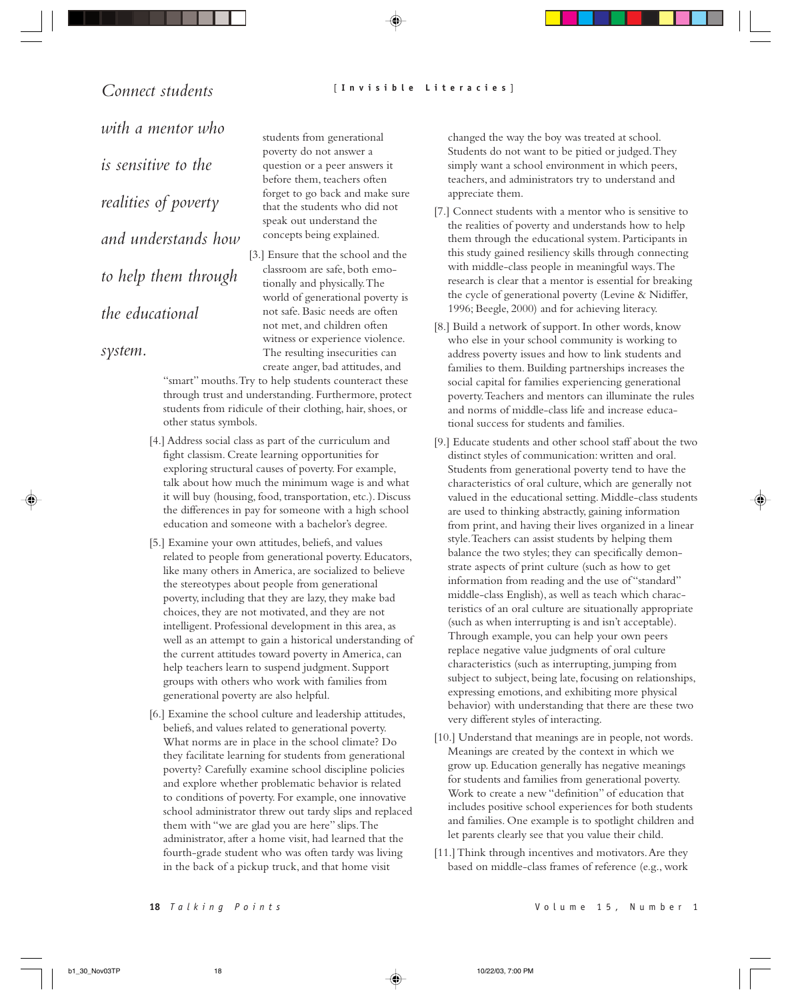*Connect students with a mentor who is sensitive to the realities of poverty and understands how to help them through the educational*

*system.*

students from generational poverty do not answer a question or a peer answers it before them, teachers often forget to go back and make sure that the students who did not speak out understand the concepts being explained.

[3.] Ensure that the school and the classroom are safe, both emotionally and physically. The world of generational poverty is not safe. Basic needs are often not met, and children often witness or experience violence. The resulting insecurities can create anger, bad attitudes, and

"smart" mouths. Try to help students counteract these through trust and understanding. Furthermore, protect students from ridicule of their clothing, hair, shoes, or other status symbols.

- [4.] Address social class as part of the curriculum and fight classism. Create learning opportunities for exploring structural causes of poverty. For example, talk about how much the minimum wage is and what it will buy (housing, food, transportation, etc.). Discuss the differences in pay for someone with a high school education and someone with a bachelor's degree.
- [5.] Examine your own attitudes, beliefs, and values related to people from generational poverty. Educators, like many others in America, are socialized to believe the stereotypes about people from generational poverty, including that they are lazy, they make bad choices, they are not motivated, and they are not intelligent. Professional development in this area, as well as an attempt to gain a historical understanding of the current attitudes toward poverty in America, can help teachers learn to suspend judgment. Support groups with others who work with families from generational poverty are also helpful.
- [6.] Examine the school culture and leadership attitudes, beliefs, and values related to generational poverty. What norms are in place in the school climate? Do they facilitate learning for students from generational poverty? Carefully examine school discipline policies and explore whether problematic behavior is related to conditions of poverty. For example, one innovative school administrator threw out tardy slips and replaced them with "we are glad you are here" slips. The administrator, after a home visit, had learned that the fourth-grade student who was often tardy was living in the back of a pickup truck, and that home visit

changed the way the boy was treated at school. Students do not want to be pitied or judged. They simply want a school environment in which peers, teachers, and administrators try to understand and appreciate them.

- [7.] Connect students with a mentor who is sensitive to the realities of poverty and understands how to help them through the educational system. Participants in this study gained resiliency skills through connecting with middle-class people in meaningful ways. The research is clear that a mentor is essential for breaking the cycle of generational poverty (Levine & Nidiffer, 1996; Beegle, 2000) and for achieving literacy.
- [8.] Build a network of support. In other words, know who else in your school community is working to address poverty issues and how to link students and families to them. Building partnerships increases the social capital for families experiencing generational poverty. Teachers and mentors can illuminate the rules and norms of middle-class life and increase educational success for students and families.
- [9.] Educate students and other school staff about the two distinct styles of communication: written and oral. Students from generational poverty tend to have the characteristics of oral culture, which are generally not valued in the educational setting. Middle-class students are used to thinking abstractly, gaining information from print, and having their lives organized in a linear style. Teachers can assist students by helping them balance the two styles; they can specifically demonstrate aspects of print culture (such as how to get information from reading and the use of "standard" middle-class English), as well as teach which characteristics of an oral culture are situationally appropriate (such as when interrupting is and isn't acceptable). Through example, you can help your own peers replace negative value judgments of oral culture characteristics (such as interrupting, jumping from subject to subject, being late, focusing on relationships, expressing emotions, and exhibiting more physical behavior) with understanding that there are these two very different styles of interacting.
- [10.] Understand that meanings are in people, not words. Meanings are created by the context in which we grow up. Education generally has negative meanings for students and families from generational poverty. Work to create a new "definition" of education that includes positive school experiences for both students and families. One example is to spotlight children and let parents clearly see that you value their child.
- [11.] Think through incentives and motivators. Are they based on middle-class frames of reference (e.g., work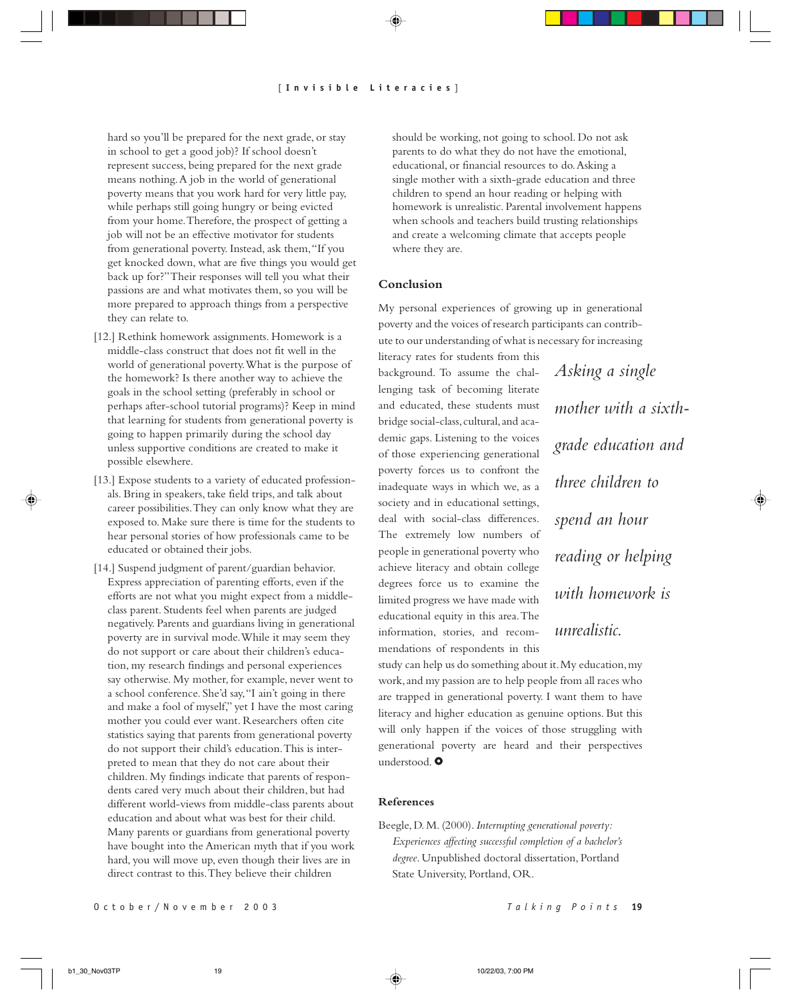hard so you'll be prepared for the next grade, or stay in school to get a good job)? If school doesn't represent success, being prepared for the next grade means nothing. A job in the world of generational poverty means that you work hard for very little pay, while perhaps still going hungry or being evicted from your home. Therefore, the prospect of getting a job will not be an effective motivator for students from generational poverty. Instead, ask them, "If you get knocked down, what are five things you would get back up for?" Their responses will tell you what their passions are and what motivates them, so you will be more prepared to approach things from a perspective they can relate to.

- [12.] Rethink homework assignments. Homework is a middle-class construct that does not fit well in the world of generational poverty. What is the purpose of the homework? Is there another way to achieve the goals in the school setting (preferably in school or perhaps after-school tutorial programs)? Keep in mind that learning for students from generational poverty is going to happen primarily during the school day unless supportive conditions are created to make it possible elsewhere.
- [13.] Expose students to a variety of educated professionals. Bring in speakers, take field trips, and talk about career possibilities. They can only know what they are exposed to. Make sure there is time for the students to hear personal stories of how professionals came to be educated or obtained their jobs.
- [14.] Suspend judgment of parent/guardian behavior. Express appreciation of parenting efforts, even if the efforts are not what you might expect from a middleclass parent. Students feel when parents are judged negatively. Parents and guardians living in generational poverty are in survival mode. While it may seem they do not support or care about their children's education, my research findings and personal experiences say otherwise. My mother, for example, never went to a school conference. She'd say, "I ain't going in there and make a fool of myself," yet I have the most caring mother you could ever want. Researchers often cite statistics saying that parents from generational poverty do not support their child's education. This is interpreted to mean that they do not care about their children. My findings indicate that parents of respondents cared very much about their children, but had different world-views from middle-class parents about education and about what was best for their child. Many parents or guardians from generational poverty have bought into the American myth that if you work hard, you will move up, even though their lives are in direct contrast to this. They believe their children

should be working, not going to school. Do not ask parents to do what they do not have the emotional, educational, or financial resources to do. Asking a single mother with a sixth-grade education and three children to spend an hour reading or helping with homework is unrealistic. Parental involvement happens when schools and teachers build trusting relationships and create a welcoming climate that accepts people where they are.

# **Conclusion**

My personal experiences of growing up in generational poverty and the voices of research participants can contribute to our understanding of what is necessary for increasing

literacy rates for students from this background. To assume the challenging task of becoming literate and educated, these students must bridge social-class, cultural, and academic gaps. Listening to the voices of those experiencing generational poverty forces us to confront the inadequate ways in which we, as a society and in educational settings, deal with social-class differences. The extremely low numbers of people in generational poverty who achieve literacy and obtain college degrees force us to examine the limited progress we have made with educational equity in this area. The information, stories, and recommendations of respondents in this

*Asking a single mother with a sixthgrade education and three children to spend an hour reading or helping with homework is unrealistic.*

study can help us do something about it. My education, my work, and my passion are to help people from all races who are trapped in generational poverty. I want them to have literacy and higher education as genuine options. But this will only happen if the voices of those struggling with generational poverty are heard and their perspectives understood. O

# **References**

Beegle, D. M. (2000). *Interrupting generational poverty: Experiences affecting successful completion of a bachelor's degree*. Unpublished doctoral dissertation, Portland State University, Portland, OR.